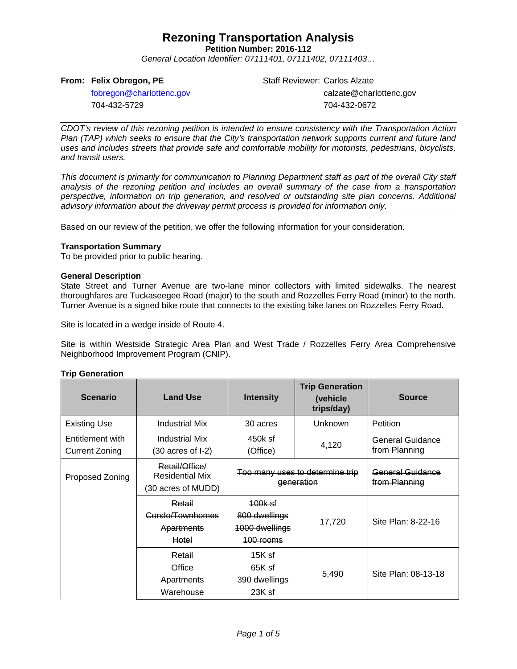**Petition Number: 2016-112**

*General Location Identifier: 07111401, 07111402, 07111403…*

#### **From: Felix Obregon, PE**

Staff Reviewer: Carlos Alzate calzate@charlottenc.gov 704-432-0672

[fobregon@charlottenc.gov](mailto:fobregon@charlottenc.gov) 704-432-5729

*CDOT's review of this rezoning petition is intended to ensure consistency with the Transportation Action Plan (TAP) which seeks to ensure that the City's transportation network supports current and future land uses and includes streets that provide safe and comfortable mobility for motorists, pedestrians, bicyclists, and transit users.*

*This document is primarily for communication to Planning Department staff as part of the overall City staff analysis of the rezoning petition and includes an overall summary of the case from a transportation perspective, information on trip generation, and resolved or outstanding site plan concerns. Additional advisory information about the driveway permit process is provided for information only.*

Based on our review of the petition, we offer the following information for your consideration.

#### **Transportation Summary**

To be provided prior to public hearing.

#### **General Description**

State Street and Turner Avenue are two-lane minor collectors with limited sidewalks. The nearest thoroughfares are Tuckaseegee Road (major) to the south and Rozzelles Ferry Road (minor) to the north. Turner Avenue is a signed bike route that connects to the existing bike lanes on Rozzelles Ferry Road.

Site is located in a wedge inside of Route 4.

Site is within Westside Strategic Area Plan and West Trade / Rozzelles Ferry Area Comprehensive Neighborhood Improvement Program (CNIP).

#### **Trip Generation**

| <b>Scenario</b>                           | <b>Land Use</b>                                         | <b>Intensity</b>                                                   | <b>Trip Generation</b><br>(vehicle)<br>trips/day) | <b>Source</b>                     |
|-------------------------------------------|---------------------------------------------------------|--------------------------------------------------------------------|---------------------------------------------------|-----------------------------------|
| <b>Existing Use</b>                       | <b>Industrial Mix</b>                                   | 30 acres                                                           | Unknown                                           | Petition                          |
| Entitlement with<br><b>Current Zoning</b> | <b>Industrial Mix</b><br>$(30 \text{ acres of } I-2)$   | 450k sf<br>(Office)                                                | 4,120                                             | General Guidance<br>from Planning |
| Proposed Zoning                           | Retail/Office/<br>Residential Mix<br>(30 acres of MUDD) | Too many uses to determine trip<br>generation                      |                                                   | General Guidance<br>from Planning |
|                                           | Retail<br>Condo/Townhomes<br>Apartments<br>Hotel        | <del>100k sf</del><br>800 dwellings<br>1000 dwellings<br>100 rooms | <del>17,720</del>                                 | Site Plan: 8-22-16                |
|                                           | Retail<br>Office<br>Apartments<br>Warehouse             | $15K$ sf<br>65K sf<br>390 dwellings<br>23K sf                      | 5,490                                             | Site Plan: 08-13-18               |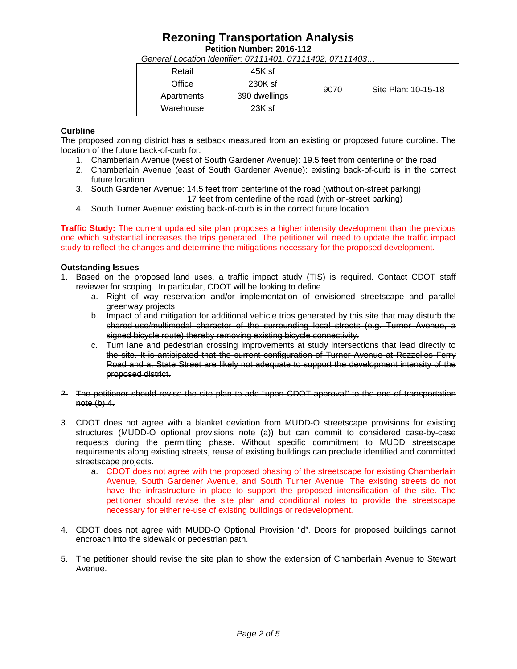**Petition Number: 2016-112**

*General Location Identifier: 07111401, 07111402, 07111403…*

|  | Retail     | 45K sf        |      |                     |
|--|------------|---------------|------|---------------------|
|  | Office     | 230K sf       | 9070 | Site Plan: 10-15-18 |
|  | Apartments | 390 dwellings |      |                     |
|  | Warehouse  | 23K sf        |      |                     |

### **Curbline**

The proposed zoning district has a setback measured from an existing or proposed future curbline. The location of the future back-of-curb for:

- 1. Chamberlain Avenue (west of South Gardener Avenue): 19.5 feet from centerline of the road
- 2. Chamberlain Avenue (east of South Gardener Avenue): existing back-of-curb is in the correct future location
- 3. South Gardener Avenue: 14.5 feet from centerline of the road (without on-street parking) 17 feet from centerline of the road (with on-street parking)
- 4. South Turner Avenue: existing back-of-curb is in the correct future location

**Traffic Study:** The current updated site plan proposes a higher intensity development than the previous one which substantial increases the trips generated. The petitioner will need to update the traffic impact study to reflect the changes and determine the mitigations necessary for the proposed development.

### **Outstanding Issues**

- 1. Based on the proposed land uses, a traffic impact study (TIS) is required. Contact CDOT staff reviewer for scoping. In particular, CDOT will be looking to define
	- a. Right of way reservation and/or implementation of envisioned streetscape and parallel greenway projects
	- b. Impact of and mitigation for additional vehicle trips generated by this site that may disturb the shared-use/multimodal character of the surrounding local streets (e.g. Turner Avenue, a signed bicycle route) thereby removing existing bicycle connectivity.
	- c. Turn lane and pedestrian crossing improvements at study intersections that lead directly to the site. It is anticipated that the current configuration of Turner Avenue at Rozzelles Ferry Road and at State Street are likely not adequate to support the development intensity of the proposed district.
- 2. The petitioner should revise the site plan to add "upon CDOT approval" to the end of transportation note  $(b)$  4.
- 3. CDOT does not agree with a blanket deviation from MUDD-O streetscape provisions for existing structures (MUDD-O optional provisions note (a)) but can commit to considered case-by-case requests during the permitting phase. Without specific commitment to MUDD streetscape requirements along existing streets, reuse of existing buildings can preclude identified and committed streetscape projects.
	- a. CDOT does not agree with the proposed phasing of the streetscape for existing Chamberlain Avenue, South Gardener Avenue, and South Turner Avenue. The existing streets do not have the infrastructure in place to support the proposed intensification of the site. The petitioner should revise the site plan and conditional notes to provide the streetscape necessary for either re-use of existing buildings or redevelopment.
- 4. CDOT does not agree with MUDD-O Optional Provision "d". Doors for proposed buildings cannot encroach into the sidewalk or pedestrian path.
- 5. The petitioner should revise the site plan to show the extension of Chamberlain Avenue to Stewart Avenue.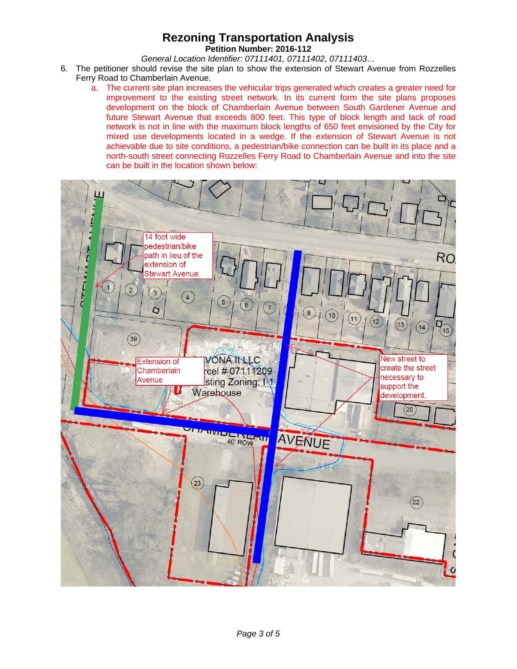**Petition Number: 2016-112**

*General Location Identifier: 07111401, 07111402, 07111403…*

- 6. The petitioner should revise the site plan to show the extension of Stewart Avenue from Rozzelles Ferry Road to Chamberlain Avenue.
	- a. The current site plan increases the vehicular trips generated which creates a greater need for improvement to the existing street network. In its current form the site plans proposes development on the block of Chamberlain Avenue between South Gardener Avenue and future Stewart Avenue that exceeds 800 feet. This type of block length and lack of road network is not in line with the maximum block lengths of 650 feet envisioned by the City for mixed use developments located in a wedge. If the extension of Stewart Avenue is not achievable due to site conditions, a pedestrian/bike connection can be built in its place and a north-south street connecting Rozzelles Ferry Road to Chamberlain Avenue and into the site can be built in the location shown below:

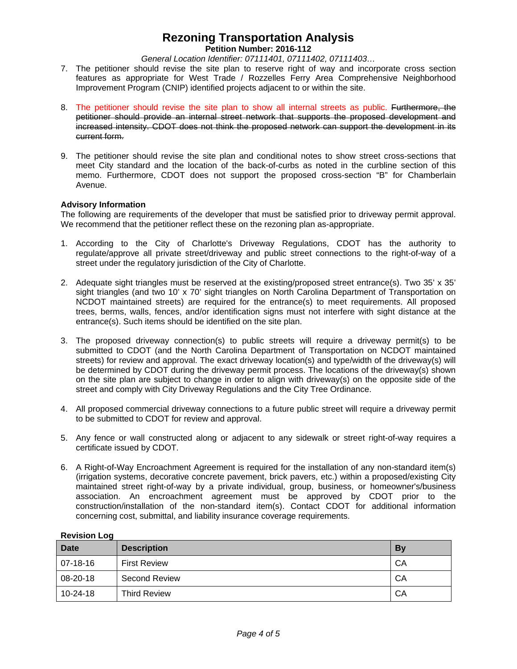**Petition Number: 2016-112**

*General Location Identifier: 07111401, 07111402, 07111403…*

- 7. The petitioner should revise the site plan to reserve right of way and incorporate cross section features as appropriate for West Trade / Rozzelles Ferry Area Comprehensive Neighborhood Improvement Program (CNIP) identified projects adjacent to or within the site.
- 8. The petitioner should revise the site plan to show all internal streets as public. Furthermore, the petitioner should provide an internal street network that supports the proposed development and increased intensity. CDOT does not think the proposed network can support the development in its current form.
- 9. The petitioner should revise the site plan and conditional notes to show street cross-sections that meet City standard and the location of the back-of-curbs as noted in the curbline section of this memo. Furthermore, CDOT does not support the proposed cross-section "B" for Chamberlain Avenue.

### **Advisory Information**

The following are requirements of the developer that must be satisfied prior to driveway permit approval. We recommend that the petitioner reflect these on the rezoning plan as-appropriate.

- 1. According to the City of Charlotte's Driveway Regulations, CDOT has the authority to regulate/approve all private street/driveway and public street connections to the right-of-way of a street under the regulatory jurisdiction of the City of Charlotte.
- 2. Adequate sight triangles must be reserved at the existing/proposed street entrance(s). Two 35' x 35' sight triangles (and two 10' x 70' sight triangles on North Carolina Department of Transportation on NCDOT maintained streets) are required for the entrance(s) to meet requirements. All proposed trees, berms, walls, fences, and/or identification signs must not interfere with sight distance at the entrance(s). Such items should be identified on the site plan.
- 3. The proposed driveway connection(s) to public streets will require a driveway permit(s) to be submitted to CDOT (and the North Carolina Department of Transportation on NCDOT maintained streets) for review and approval. The exact driveway location(s) and type/width of the driveway(s) will be determined by CDOT during the driveway permit process. The locations of the driveway(s) shown on the site plan are subject to change in order to align with driveway(s) on the opposite side of the street and comply with City Driveway Regulations and the City Tree Ordinance.
- 4. All proposed commercial driveway connections to a future public street will require a driveway permit to be submitted to CDOT for review and approval.
- 5. Any fence or wall constructed along or adjacent to any sidewalk or street right-of-way requires a certificate issued by CDOT.
- 6. A Right-of-Way Encroachment Agreement is required for the installation of any non-standard item(s) (irrigation systems, decorative concrete pavement, brick pavers, etc.) within a proposed/existing City maintained street right-of-way by a private individual, group, business, or homeowner's/business association. An encroachment agreement must be approved by CDOT prior to the construction/installation of the non-standard item(s). Contact CDOT for additional information concerning cost, submittal, and liability insurance coverage requirements.

| <b>Date</b>    | <b>Description</b>  | By |
|----------------|---------------------|----|
| 07-18-16       | <b>First Review</b> | CA |
| 08-20-18       | Second Review       | CA |
| $10 - 24 - 18$ | <b>Third Review</b> | CA |

#### **Revision Log**